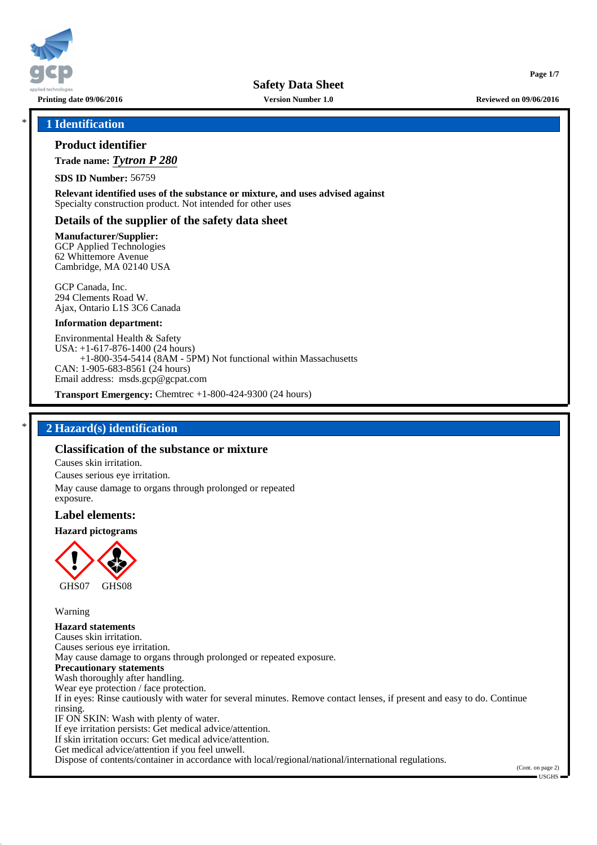

**Page 1/7**

# \* **1 Identification**

# **Product identifier**

**Trade name:** *Tytron P 280*

**SDS ID Number:** 56759

**Relevant identified uses of the substance or mixture, and uses advised against** Specialty construction product. Not intended for other uses

# **Details of the supplier of the safety data sheet**

**Manufacturer/Supplier:** GCP Applied Technologies 62 Whittemore Avenue Cambridge, MA 02140 USA

GCP Canada, Inc. 294 Clements Road W. Ajax, Ontario L1S 3C6 Canada

#### **Information department:**

Environmental Health & Safety USA: +1-617-876-1400 (24 hours) +1-800-354-5414 (8AM - 5PM) Not functional within Massachusetts CAN: 1-905-683-8561 (24 hours) Email address: msds.gcp@gcpat.com

**Transport Emergency:** Chemtrec +1-800-424-9300 (24 hours)

# \* **2 Hazard(s) identification**

## **Classification of the substance or mixture**

Causes skin irritation. Causes serious eye irritation. May cause damage to organs through prolonged or repeated exposure.

## **Label elements:**

**Hazard pictograms**



Warning

**Hazard statements** Causes skin irritation. Causes serious eye irritation. May cause damage to organs through prolonged or repeated exposure. **Precautionary statements** Wash thoroughly after handling. Wear eye protection / face protection. If in eyes: Rinse cautiously with water for several minutes. Remove contact lenses, if present and easy to do. Continue rinsing. IF ON SKIN: Wash with plenty of water. If eye irritation persists: Get medical advice/attention. If skin irritation occurs: Get medical advice/attention. Get medical advice/attention if you feel unwell. Dispose of contents/container in accordance with local/regional/national/international regulations.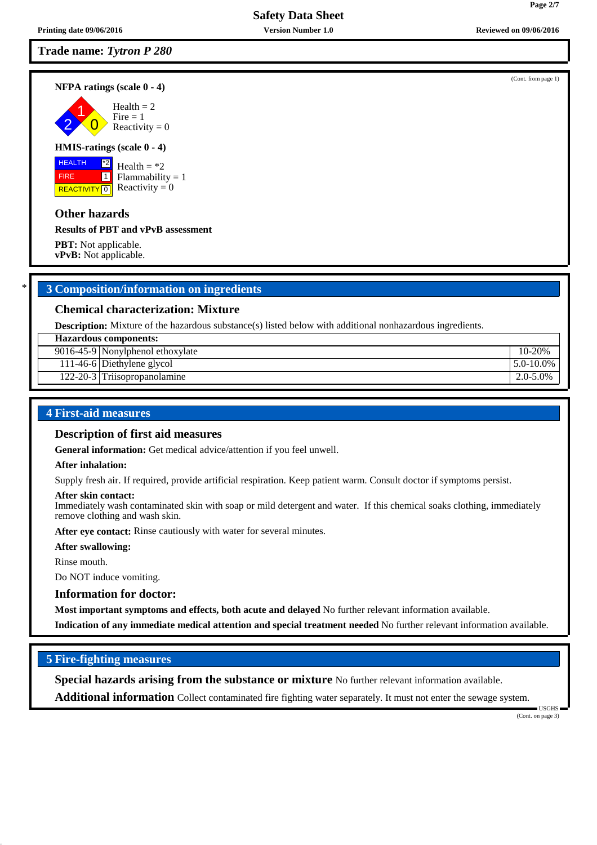# **Trade name:** *Tytron P 280*

2 1

# **HMIS-ratings (scale 0 - 4)**

# **Other hazards**

FIRE

#### **Results of PBT and vPvB assessment**

**PBT:** Not applicable. **vPvB:** Not applicable.

## \* **3 Composition/information on ingredients**

## **Chemical characterization: Mixture**

**Description:** Mixture of the hazardous substance(s) listed below with additional nonhazardous ingredients.

| Hazardous components:            |                 |
|----------------------------------|-----------------|
| 9016-45-9 Nonylphenol ethoxylate | 10-20%          |
| 111-46-6 Diethylene glycol       | $15.0 - 10.0\%$ |
| 122-20-3 Triisopropanolamine     | $2.0 - 5.0\%$   |

## **4 First-aid measures**

### **Description of first aid measures**

**General information:** Get medical advice/attention if you feel unwell.

#### **After inhalation:**

Supply fresh air. If required, provide artificial respiration. Keep patient warm. Consult doctor if symptoms persist.

#### **After skin contact:**

Immediately wash contaminated skin with soap or mild detergent and water. If this chemical soaks clothing, immediately remove clothing and wash skin.

**After eye contact:** Rinse cautiously with water for several minutes.

#### **After swallowing:**

Rinse mouth.

Do NOT induce vomiting.

# **Information for doctor:**

**Most important symptoms and effects, both acute and delayed** No further relevant information available.

**Indication of any immediate medical attention and special treatment needed** No further relevant information available.

## **5 Fire-fighting measures**

**Special hazards arising from the substance or mixture** No further relevant information available.

**Additional information** Collect contaminated fire fighting water separately. It must not enter the sewage system.

(Cont. on page 3)

USGHS

(Cont. from page 1)



# **NFPA ratings (scale 0 - 4)**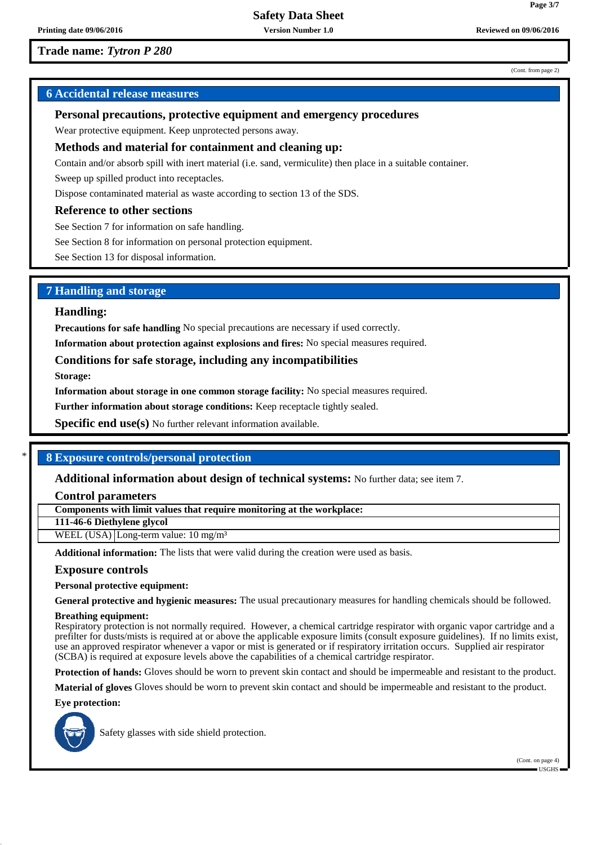# **Trade name:** *Tytron P 280*

# **6 Accidental release measures**

#### **Personal precautions, protective equipment and emergency procedures**

Wear protective equipment. Keep unprotected persons away.

# **Methods and material for containment and cleaning up:**

Contain and/or absorb spill with inert material (i.e. sand, vermiculite) then place in a suitable container.

Sweep up spilled product into receptacles.

Dispose contaminated material as waste according to section 13 of the SDS.

#### **Reference to other sections**

See Section 7 for information on safe handling.

See Section 8 for information on personal protection equipment.

See Section 13 for disposal information.

# **7 Handling and storage**

#### **Handling:**

**Precautions for safe handling** No special precautions are necessary if used correctly.

**Information about protection against explosions and fires:** No special measures required.

#### **Conditions for safe storage, including any incompatibilities**

**Storage:**

**Information about storage in one common storage facility:** No special measures required.

**Further information about storage conditions:** Keep receptacle tightly sealed.

**Specific end use(s)** No further relevant information available.

# \* **8 Exposure controls/personal protection**

#### **Additional information about design of technical systems:** No further data; see item 7.

**Control parameters**

**Components with limit values that require monitoring at the workplace:**

**111-46-6 Diethylene glycol**

WEEL (USA) Long-term value:  $10 \text{ mg/m}^3$ 

**Additional information:** The lists that were valid during the creation were used as basis.

#### **Exposure controls**

**Personal protective equipment:**

**General protective and hygienic measures:** The usual precautionary measures for handling chemicals should be followed.

#### **Breathing equipment:**

Respiratory protection is not normally required. However, a chemical cartridge respirator with organic vapor cartridge and a prefilter for dusts/mists is required at or above the applicable exposure limits (consult exposure guidelines). If no limits exist, use an approved respirator whenever a vapor or mist is generated or if respiratory irritation occurs. Supplied air respirator (SCBA) is required at exposure levels above the capabilities of a chemical cartridge respirator.

**Protection of hands:** Gloves should be worn to prevent skin contact and should be impermeable and resistant to the product.

**Material of gloves** Gloves should be worn to prevent skin contact and should be impermeable and resistant to the product.

**Eye protection:**



Safety glasses with side shield protection.

(Cont. on page 4) USGHS

(Cont. from page 2)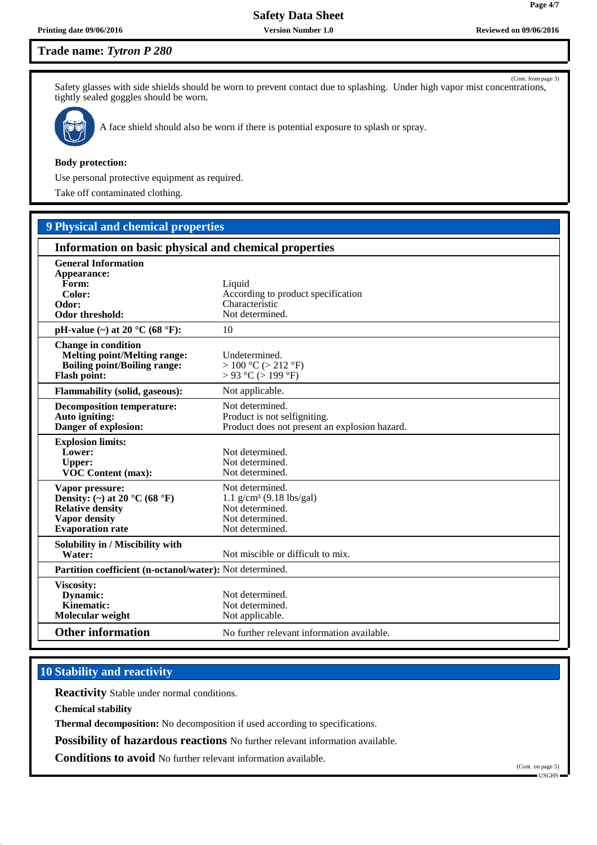# **Trade name:** *Tytron P 280*

(Cont. from page 3) Safety glasses with side shields should be worn to prevent contact due to splashing. Under high vapor mist concentrations, tightly sealed goggles should be worn.



A face shield should also be worn if there is potential exposure to splash or spray.

#### **Body protection:**

Use personal protective equipment as required.

Take off contaminated clothing.

# **9 Physical and chemical properties**

| Information on basic physical and chemical properties                                                                                              |                                                                                                         |  |
|----------------------------------------------------------------------------------------------------------------------------------------------------|---------------------------------------------------------------------------------------------------------|--|
| <b>General Information</b><br>Appearance:<br>Form:<br>Color:<br>Odor:<br>Odor threshold:                                                           | Liquid<br>According to product specification<br>Characteristic<br>Not determined.                       |  |
| pH-value $(\sim)$ at 20 °C (68 °F):                                                                                                                | 10                                                                                                      |  |
| <b>Change in condition</b><br><b>Melting point/Melting range:</b><br><b>Boiling point/Boiling range:</b><br><b>Flash point:</b>                    | Undetermined.<br>> 100 °C (> 212 °F)<br>$> 93$ °C ( $> 199$ °F)                                         |  |
| <b>Flammability (solid, gaseous):</b>                                                                                                              | Not applicable.                                                                                         |  |
| <b>Decomposition temperature:</b><br>Auto igniting:<br>Danger of explosion:                                                                        | Not determined.<br>Product is not selfigniting.<br>Product does not present an explosion hazard.        |  |
| <b>Explosion limits:</b><br>Lower:<br><b>Upper:</b><br>VOC Content (max):                                                                          | Not determined.<br>Not determined.<br>Not determined.                                                   |  |
| Vapor pressure:<br>Density: (~) at 20 $^{\circ}$ C (68 $^{\circ}$ F)<br><b>Relative density</b><br><b>Vapor density</b><br><b>Evaporation</b> rate | Not determined.<br>1.1 $g/cm^3$ (9.18 lbs/gal)<br>Not determined.<br>Not determined.<br>Not determined. |  |
| Solubility in / Miscibility with<br>Water:                                                                                                         | Not miscible or difficult to mix.                                                                       |  |
| Partition coefficient (n-octanol/water): Not determined.                                                                                           |                                                                                                         |  |
| Viscosity:<br>Dynamic:<br>Kinematic:<br>Molecular weight                                                                                           | Not determined.<br>Not determined.<br>Not applicable.                                                   |  |
| <b>Other information</b>                                                                                                                           | No further relevant information available.                                                              |  |

# **10 Stability and reactivity**

**Reactivity** Stable under normal conditions.

**Chemical stability**

**Thermal decomposition:** No decomposition if used according to specifications.

**Possibility of hazardous reactions** No further relevant information available.

**Conditions to avoid** No further relevant information available.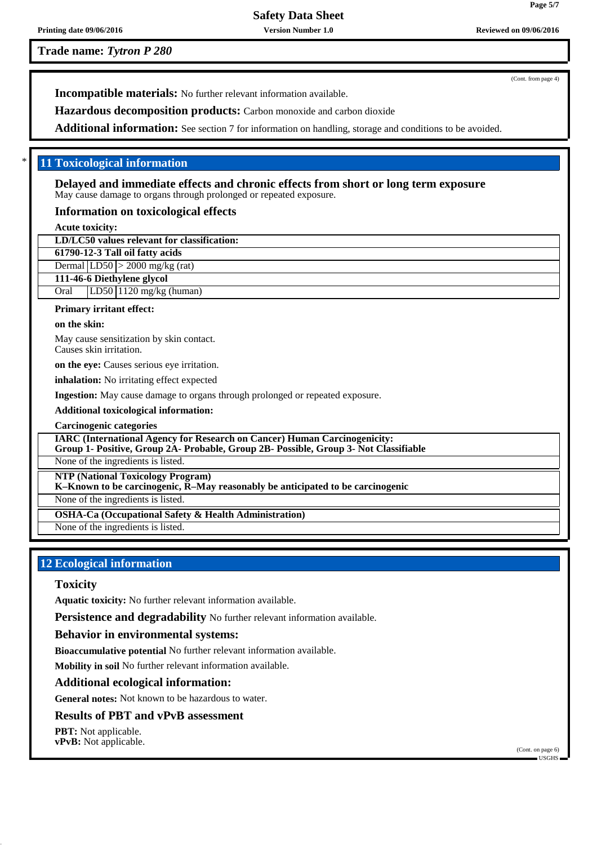**Trade name:** *Tytron P 280*

(Cont. from page 4)

**Page 5/7**

**Incompatible materials:** No further relevant information available.

**Hazardous decomposition products:** Carbon monoxide and carbon dioxide

**Additional information:** See section 7 for information on handling, storage and conditions to be avoided.

# \* **11 Toxicological information**

**Delayed and immediate effects and chronic effects from short or long term exposure** May cause damage to organs through prolonged or repeated exposure.

## **Information on toxicological effects**

**Acute toxicity:**

|--|

**61790-12-3 Tall oil fatty acids**

Dermal  $|LD50| > 2000$  mg/kg (rat) **111-46-6 Diethylene glycol**

Oral LD50 1120 mg/kg (human)

#### **Primary irritant effect:**

#### **on the skin:**

May cause sensitization by skin contact. Causes skin irritation.

**on the eye:** Causes serious eye irritation.

**inhalation:** No irritating effect expected

**Ingestion:** May cause damage to organs through prolonged or repeated exposure.

**Additional toxicological information:**

**Carcinogenic categories**

**IARC (International Agency for Research on Cancer) Human Carcinogenicity:**

**Group 1- Positive, Group 2A- Probable, Group 2B- Possible, Group 3- Not Classifiable**

None of the ingredients is listed.

**NTP (National Toxicology Program)**

**K–Known to be carcinogenic, R–May reasonably be anticipated to be carcinogenic**

None of the ingredients is listed.

**OSHA-Ca (Occupational Safety & Health Administration)**

None of the ingredients is listed.

# **12 Ecological information**

## **Toxicity**

**Aquatic toxicity:** No further relevant information available.

**Persistence and degradability** No further relevant information available.

## **Behavior in environmental systems:**

**Bioaccumulative potential** No further relevant information available.

**Mobility in soil** No further relevant information available.

## **Additional ecological information:**

**General notes:** Not known to be hazardous to water.

# **Results of PBT and vPvB assessment**

**PBT:** Not applicable. **vPvB:** Not applicable.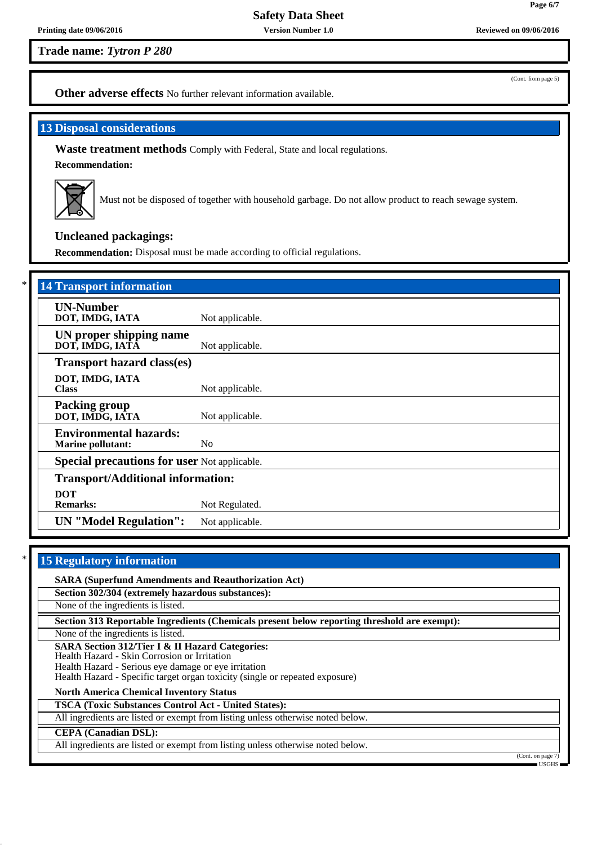**Trade name:** *Tytron P 280*

(Cont. from page 5)

**Page 6/7**

**Other adverse effects** No further relevant information available.

# **13 Disposal considerations**

**Waste treatment methods** Comply with Federal, State and local regulations.

**Recommendation:**



Must not be disposed of together with household garbage. Do not allow product to reach sewage system.

# **Uncleaned packagings:**

**Recommendation:** Disposal must be made according to official regulations.

| <b>14 Transport information</b>                           |                 |
|-----------------------------------------------------------|-----------------|
| <b>UN-Number</b><br>DOT, IMDG, IATA                       | Not applicable. |
| UN proper shipping name<br>DOT, IMDG, IATÂ                | Not applicable. |
| <b>Transport hazard class(es)</b>                         |                 |
| DOT, IMDG, IATA<br><b>Class</b>                           | Not applicable. |
| <b>Packing group</b><br>DOT, IMDG, IATA                   | Not applicable. |
| <b>Environmental hazards:</b><br><b>Marine pollutant:</b> | N <sub>0</sub>  |
| <b>Special precautions for user Not applicable.</b>       |                 |
| <b>Transport/Additional information:</b>                  |                 |
| <b>DOT</b><br><b>Remarks:</b>                             | Not Regulated.  |
| <b>UN</b> "Model Regulation":                             | Not applicable. |

# **15 Regulatory information**

**SARA (Superfund Amendments and Reauthorization Act) Section 302/304 (extremely hazardous substances):**

None of the ingredients is listed.

**Section 313 Reportable Ingredients (Chemicals present below reporting threshold are exempt):**

None of the ingredients is listed.

**SARA Section 312/Tier I & II Hazard Categories:**

Health Hazard - Skin Corrosion or Irritation

Health Hazard - Serious eye damage or eye irritation

Health Hazard - Specific target organ toxicity (single or repeated exposure)

**North America Chemical Inventory Status**

**TSCA (Toxic Substances Control Act - United States):**

All ingredients are listed or exempt from listing unless otherwise noted below.

**CEPA (Canadian DSL):**

All ingredients are listed or exempt from listing unless otherwise noted below.

(Cont. on page USGHS